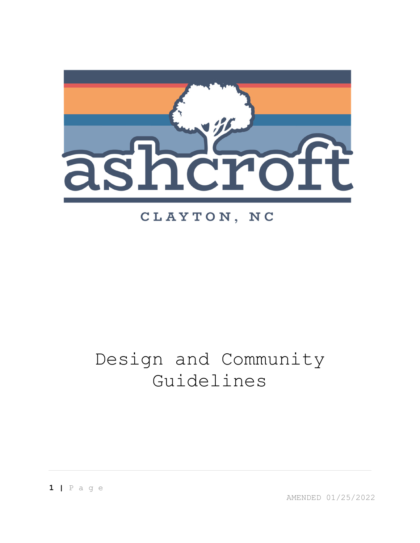

## CLAYTON, NC

# Design and Community Guidelines

**1 |** P a g e

AMENDED 01/25/2022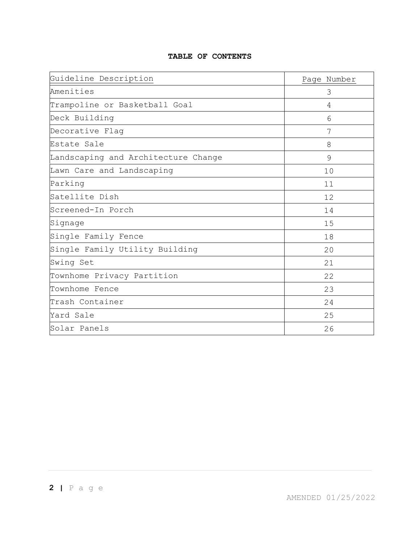#### **TABLE OF CONTENTS**

| Guideline Description               | Page Number |
|-------------------------------------|-------------|
| Amenities                           | 3           |
| Trampoline or Basketball Goal       | 4           |
| Deck Building                       | 6           |
| Decorative Flag                     | 7           |
| Estate Sale                         | 8           |
| Landscaping and Architecture Change | 9           |
| Lawn Care and Landscaping           | 10          |
| Parking                             | 11          |
| Satellite Dish                      | 12          |
| Screened-In Porch                   | 14          |
| Signage                             | 15          |
| Single Family Fence                 | 18          |
| Single Family Utility Building      | 20          |
| Swing Set                           | 21          |
| Townhome Privacy Partition          | 22          |
| Townhome Fence                      | 23          |
| Trash Container                     | 24          |
| Yard Sale                           | 25          |
| Solar Panels                        | 26          |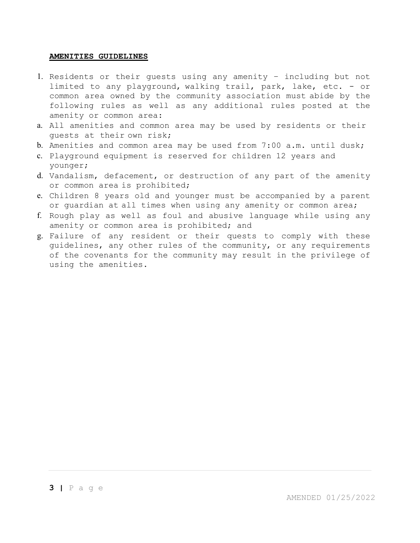#### **AMENITIES GUIDELINES**

- 1. Residents or their guests using any amenity including but not limited to any playground, walking trail, park, lake, etc. - or common area owned by the community association must abide by the following rules as well as any additional rules posted at the amenity or common area:
- a. All amenities and common area may be used by residents or their guests at their own risk;
- b. Amenities and common area may be used from 7:00 a.m. until dusk;
- c. Playground equipment is reserved for children 12 years and younger;
- d. Vandalism, defacement, or destruction of any part of the amenity or common area is prohibited;
- e. Children 8 years old and younger must be accompanied by a parent or guardian at all times when using any amenity or common area;
- f. Rough play as well as foul and abusive language while using any amenity or common area is prohibited; and
- g. Failure of any resident or their quests to comply with these guidelines, any other rules of the community, or any requirements of the covenants for the community may result in the privilege of using the amenities.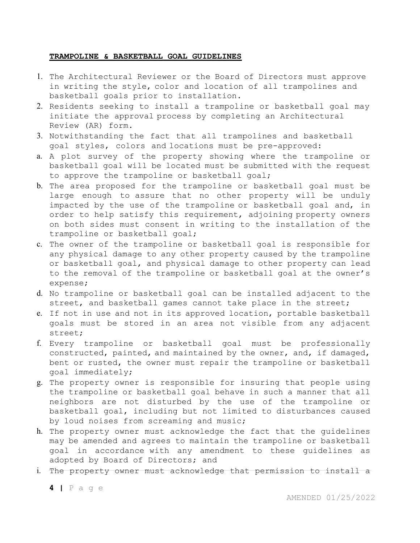#### **TRAMPOLINE & BASKETBALL GOAL GUIDELINES**

- 1. The Architectural Reviewer or the Board of Directors must approve in writing the style, color and location of all trampolines and basketball goals prior to installation.
- 2. Residents seeking to install a trampoline or basketball goal may initiate the approval process by completing an Architectural Review (AR) form.
- 3. Notwithstanding the fact that all trampolines and basketball goal styles, colors and locations must be pre-approved:
- a. A plot survey of the property showing where the trampoline or basketball goal will be located must be submitted with the request to approve the trampoline or basketball goal;
- b. The area proposed for the trampoline or basketball goal must be large enough to assure that no other property will be unduly impacted by the use of the trampoline or basketball goal and, in order to help satisfy this requirement, adjoining property owners on both sides must consent in writing to the installation of the trampoline or basketball goal;
- c. The owner of the trampoline or basketball goal is responsible for any physical damage to any other property caused by the trampoline or basketball goal, and physical damage to other property can lead to the removal of the trampoline or basketball goal at the owner's expense;
- d. No trampoline or basketball goal can be installed adjacent to the street, and basketball games cannot take place in the street;
- e. If not in use and not in its approved location, portable basketball goals must be stored in an area not visible from any adjacent street;
- f. Every trampoline or basketball goal must be professionally constructed, painted, and maintained by the owner, and, if damaged, bent or rusted, the owner must repair the trampoline or basketball goal immediately;
- g. The property owner is responsible for insuring that people using the trampoline or basketball goal behave in such a manner that all neighbors are not disturbed by the use of the trampoline or basketball goal, including but not limited to disturbances caused by loud noises from screaming and music;
- h. The property owner must acknowledge the fact that the guidelines may be amended and agrees to maintain the trampoline or basketball goal in accordance with any amendment to these guidelines as adopted by Board of Directors; and
- i. The property owner must acknowledge that permission to install a

**4 |** P a g e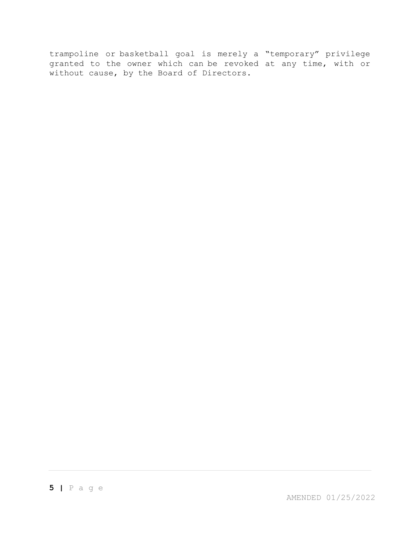trampoline or basketball goal is merely a "temporary" privilege granted to the owner which can be revoked at any time, with or without cause, by the Board of Directors.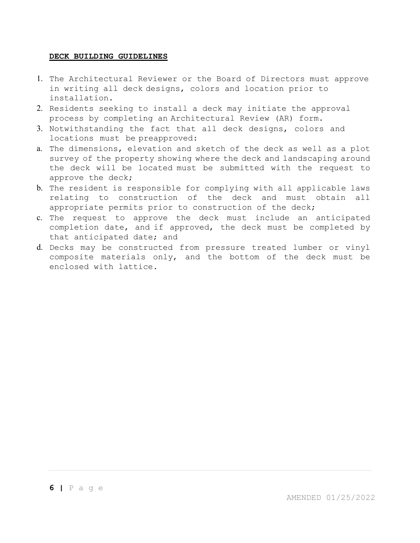#### **DECK BUILDING GUIDELINES**

- 1. The Architectural Reviewer or the Board of Directors must approve in writing all deck designs, colors and location prior to installation.
- 2. Residents seeking to install a deck may initiate the approval process by completing an Architectural Review (AR) form.
- 3. Notwithstanding the fact that all deck designs, colors and locations must be preapproved:
- a. The dimensions, elevation and sketch of the deck as well as a plot survey of the property showing where the deck and landscaping around the deck will be located must be submitted with the request to approve the deck;
- b. The resident is responsible for complying with all applicable laws relating to construction of the deck and must obtain all appropriate permits prior to construction of the deck;
- c. The request to approve the deck must include an anticipated completion date, and if approved, the deck must be completed by that anticipated date; and
- d. Decks may be constructed from pressure treated lumber or vinyl composite materials only, and the bottom of the deck must be enclosed with lattice.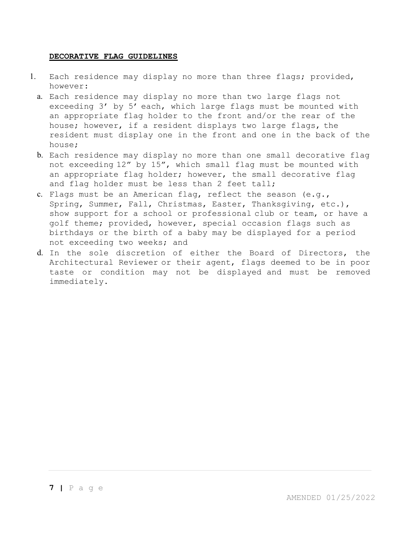#### **DECORATIVE FLAG GUIDELINES**

- 1. Each residence may display no more than three flags; provided, however:
	- a. Each residence may display no more than two large flags not exceeding 3' by 5' each, which large flags must be mounted with an appropriate flag holder to the front and/or the rear of the house; however, if a resident displays two large flags, the resident must display one in the front and one in the back of the house;
	- b. Each residence may display no more than one small decorative flag not exceeding 12" by 15", which small flag must be mounted with an appropriate flag holder; however, the small decorative flag and flag holder must be less than 2 feet tall;
	- c. Flags must be an American flag, reflect the season (e.g., Spring, Summer, Fall, Christmas, Easter, Thanksgiving, etc.), show support for a school or professional club or team, or have a golf theme; provided, however, special occasion flags such as birthdays or the birth of a baby may be displayed for a period not exceeding two weeks; and
	- d. In the sole discretion of either the Board of Directors, the Architectural Reviewer or their agent, flags deemed to be in poor taste or condition may not be displayed and must be removed immediately.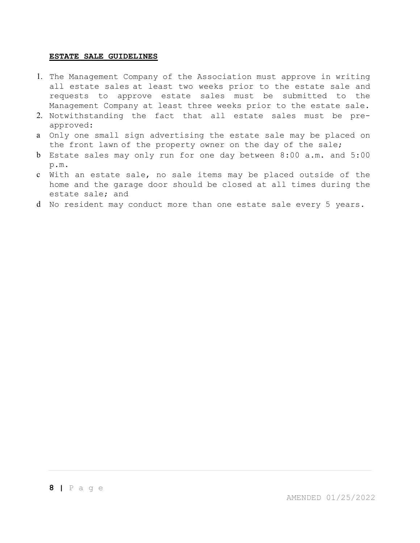#### **ESTATE SALE GUIDELINES**

- 1. The Management Company of the Association must approve in writing all estate sales at least two weeks prior to the estate sale and requests to approve estate sales must be submitted to the Management Company at least three weeks prior to the estate sale.
- 2. Notwithstanding the fact that all estate sales must be preapproved:
- a Only one small sign advertising the estate sale may be placed on the front lawn of the property owner on the day of the sale;
- b Estate sales may only run for one day between 8:00 a.m. and 5:00 p.m.
- c With an estate sale, no sale items may be placed outside of the home and the garage door should be closed at all times during the estate sale; and
- d No resident may conduct more than one estate sale every 5 years.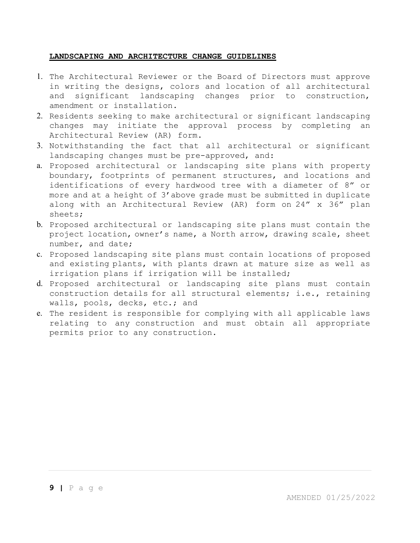#### **LANDSCAPING AND ARCHITECTURE CHANGE GUIDELINES**

- 1. The Architectural Reviewer or the Board of Directors must approve in writing the designs, colors and location of all architectural and significant landscaping changes prior to construction, amendment or installation.
- 2. Residents seeking to make architectural or significant landscaping changes may initiate the approval process by completing an Architectural Review (AR) form.
- 3. Notwithstanding the fact that all architectural or significant landscaping changes must be pre-approved, and:
- a. Proposed architectural or landscaping site plans with property boundary, footprints of permanent structures, and locations and identifications of every hardwood tree with a diameter of 8" or more and at a height of 3'above grade must be submitted in duplicate along with an Architectural Review (AR) form on 24" x 36" plan sheets;
- b. Proposed architectural or landscaping site plans must contain the project location, owner's name, a North arrow, drawing scale, sheet number, and date;
- c. Proposed landscaping site plans must contain locations of proposed and existing plants, with plants drawn at mature size as well as irrigation plans if irrigation will be installed;
- d. Proposed architectural or landscaping site plans must contain construction details for all structural elements; i.e., retaining walls, pools, decks, etc.; and
- e. The resident is responsible for complying with all applicable laws relating to any construction and must obtain all appropriate permits prior to any construction.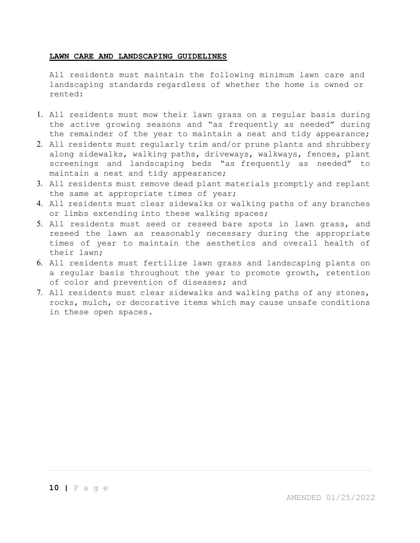#### **LAWN CARE AND LANDSCAPING GUIDELINES**

All residents must maintain the following minimum lawn care and landscaping standards regardless of whether the home is owned or rented:

- 1. All residents must mow their lawn grass on a regular basis during the active growing seasons and "as frequently as needed" during the remainder of the year to maintain a neat and tidy appearance;
- 2. All residents must regularly trim and/or prune plants and shrubbery along sidewalks, walking paths, driveways, walkways, fences, plant screenings and landscaping beds "as frequently as needed" to maintain a neat and tidy appearance;
- 3. All residents must remove dead plant materials promptly and replant the same at appropriate times of year;
- 4. All residents must clear sidewalks or walking paths of any branches or limbs extending into these walking spaces;
- 5. All residents must seed or reseed bare spots in lawn grass, and reseed the lawn as reasonably necessary during the appropriate times of year to maintain the aesthetics and overall health of their lawn;
- 6. All residents must fertilize lawn grass and landscaping plants on a regular basis throughout the year to promote growth, retention of color and prevention of diseases; and
- 7. All residents must clear sidewalks and walking paths of any stones, rocks, mulch, or decorative items which may cause unsafe conditions in these open spaces.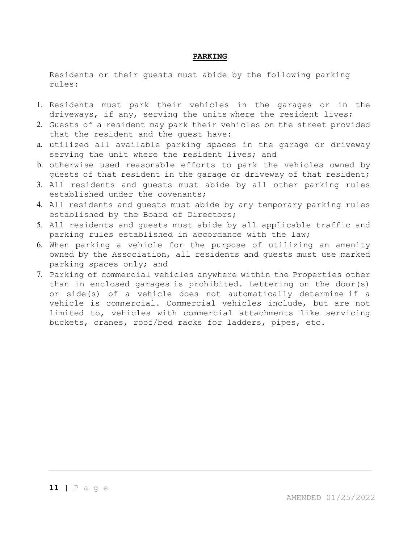#### **PARKING**

Residents or their guests must abide by the following parking rules:

- 1. Residents must park their vehicles in the garages or in the driveways, if any, serving the units where the resident lives;
- 2. Guests of a resident may park their vehicles on the street provided that the resident and the guest have:
- a. utilized all available parking spaces in the garage or driveway serving the unit where the resident lives; and
- b. otherwise used reasonable efforts to park the vehicles owned by guests of that resident in the garage or driveway of that resident;
- 3. All residents and guests must abide by all other parking rules established under the covenants;
- 4. All residents and guests must abide by any temporary parking rules established by the Board of Directors;
- 5. All residents and guests must abide by all applicable traffic and parking rules established in accordance with the law;
- 6. When parking a vehicle for the purpose of utilizing an amenity owned by the Association, all residents and guests must use marked parking spaces only; and
- 7. Parking of commercial vehicles anywhere within the Properties other than in enclosed garages is prohibited. Lettering on the door(s) or side(s) of a vehicle does not automatically determine if a vehicle is commercial. Commercial vehicles include, but are not limited to, vehicles with commercial attachments like servicing buckets, cranes, roof/bed racks for ladders, pipes, etc.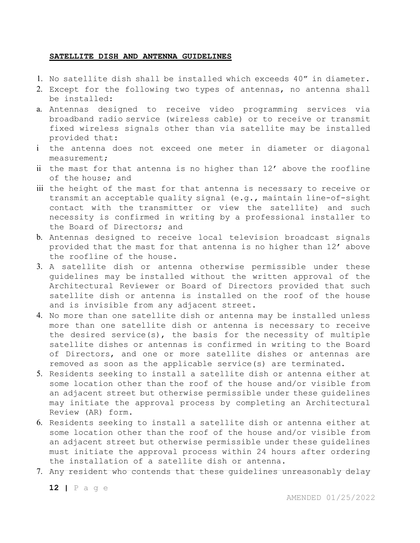#### **SATELLITE DISH AND ANTENNA GUIDELINES**

- 1. No satellite dish shall be installed which exceeds 40" in diameter.
- 2. Except for the following two types of antennas, no antenna shall be installed:
- a. Antennas designed to receive video programming services via broadband radio service (wireless cable) or to receive or transmit fixed wireless signals other than via satellite may be installed provided that:
- i the antenna does not exceed one meter in diameter or diagonal measurement;
- ii the mast for that antenna is no higher than 12' above the roofline of the house; and
- iii the height of the mast for that antenna is necessary to receive or transmit an acceptable quality signal (e.g., maintain line-of-sight contact with the transmitter or view the satellite) and such necessity is confirmed in writing by a professional installer to the Board of Directors; and
- b. Antennas designed to receive local television broadcast signals provided that the mast for that antenna is no higher than 12' above the roofline of the house.
- 3. A satellite dish or antenna otherwise permissible under these guidelines may be installed without the written approval of the Architectural Reviewer or Board of Directors provided that such satellite dish or antenna is installed on the roof of the house and is invisible from any adjacent street.
- 4. No more than one satellite dish or antenna may be installed unless more than one satellite dish or antenna is necessary to receive the desired service(s), the basis for the necessity of multiple satellite dishes or antennas is confirmed in writing to the Board of Directors, and one or more satellite dishes or antennas are removed as soon as the applicable service(s) are terminated.
- 5. Residents seeking to install a satellite dish or antenna either at some location other than the roof of the house and/or visible from an adjacent street but otherwise permissible under these guidelines may initiate the approval process by completing an Architectural Review (AR) form.
- 6. Residents seeking to install a satellite dish or antenna either at some location other than the roof of the house and/or visible from an adjacent street but otherwise permissible under these guidelines must initiate the approval process within 24 hours after ordering the installation of a satellite dish or antenna.
- 7. Any resident who contends that these guidelines unreasonably delay

**12 |** P a g e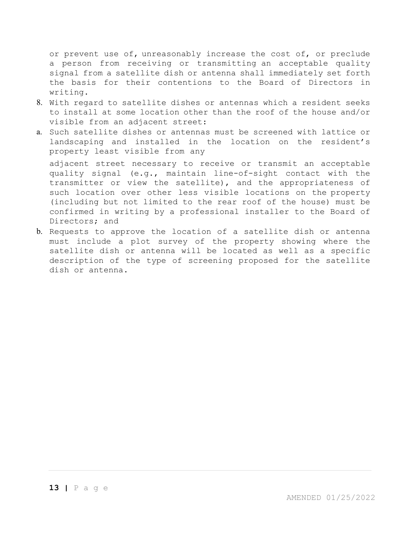or prevent use of, unreasonably increase the cost of, or preclude a person from receiving or transmitting an acceptable quality signal from a satellite dish or antenna shall immediately set forth the basis for their contentions to the Board of Directors in writing.

- 8. With regard to satellite dishes or antennas which a resident seeks to install at some location other than the roof of the house and/or visible from an adjacent street:
- a. Such satellite dishes or antennas must be screened with lattice or landscaping and installed in the location on the resident's property least visible from any

adjacent street necessary to receive or transmit an acceptable quality signal (e.g., maintain line-of-sight contact with the transmitter or view the satellite), and the appropriateness of such location over other less visible locations on the property (including but not limited to the rear roof of the house) must be confirmed in writing by a professional installer to the Board of Directors; and

b. Requests to approve the location of a satellite dish or antenna must include a plot survey of the property showing where the satellite dish or antenna will be located as well as a specific description of the type of screening proposed for the satellite dish or antenna.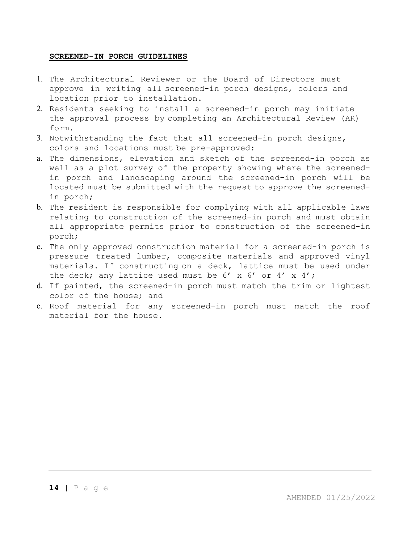#### **SCREENED-IN PORCH GUIDELINES**

- 1. The Architectural Reviewer or the Board of Directors must approve in writing all screened-in porch designs, colors and location prior to installation.
- 2. Residents seeking to install a screened-in porch may initiate the approval process by completing an Architectural Review (AR) form.
- 3. Notwithstanding the fact that all screened-in porch designs, colors and locations must be pre-approved:
- a. The dimensions, elevation and sketch of the screened-in porch as well as a plot survey of the property showing where the screenedin porch and landscaping around the screened-in porch will be located must be submitted with the request to approve the screenedin porch;
- b. The resident is responsible for complying with all applicable laws relating to construction of the screened-in porch and must obtain all appropriate permits prior to construction of the screened-in porch;
- c. The only approved construction material for a screened-in porch is pressure treated lumber, composite materials and approved vinyl materials. If constructing on a deck, lattice must be used under the deck; any lattice used must be  $6'$  x  $6'$  or  $4'$  x  $4'$ ;
- d. If painted, the screened-in porch must match the trim or lightest color of the house; and
- e. Roof material for any screened-in porch must match the roof material for the house.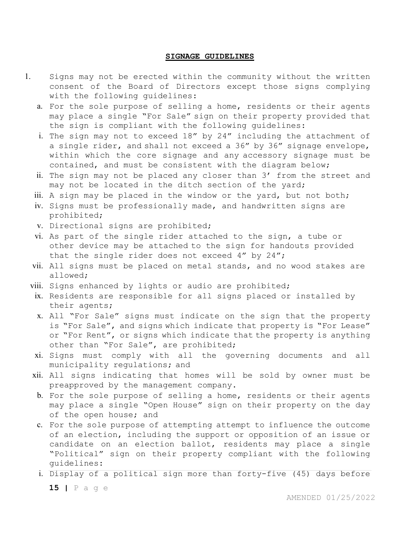#### **SIGNAGE GUIDELINES**

- 1. Signs may not be erected within the community without the written consent of the Board of Directors except those signs complying with the following guidelines:
	- a. For the sole purpose of selling a home, residents or their agents may place a single "For Sale" sign on their property provided that the sign is compliant with the following guidelines:
	- i. The sign may not to exceed 18" by 24" including the attachment of a single rider, and shall not exceed a 36" by 36" signage envelope, within which the core signage and any accessory signage must be contained, and must be consistent with the diagram below;
	- ii. The sign may not be placed any closer than 3' from the street and may not be located in the ditch section of the yard;
	- iii. A sign may be placed in the window or the yard, but not both;
	- iv. Signs must be professionally made, and handwritten signs are prohibited;
	- v. Directional signs are prohibited;
	- vi. As part of the single rider attached to the sign, a tube or other device may be attached to the sign for handouts provided that the single rider does not exceed 4" by 24";
	- vii. All signs must be placed on metal stands, and no wood stakes are allowed;
	- viii. Signs enhanced by lights or audio are prohibited;
	- ix. Residents are responsible for all signs placed or installed by their agents;
	- x. All "For Sale" signs must indicate on the sign that the property is "For Sale", and signs which indicate that property is "For Lease" or "For Rent", or signs which indicate that the property is anything other than "For Sale", are prohibited;
	- xi. Signs must comply with all the governing documents and all municipality regulations; and
	- xii. All signs indicating that homes will be sold by owner must be preapproved by the management company.
	- b. For the sole purpose of selling a home, residents or their agents may place a single "Open House" sign on their property on the day of the open house; and
	- c. For the sole purpose of attempting attempt to influence the outcome of an election, including the support or opposition of an issue or candidate on an election ballot, residents may place a single "Political" sign on their property compliant with the following guidelines:
	- i. Display of a political sign more than forty-five (45) days before

**15 |** P a g e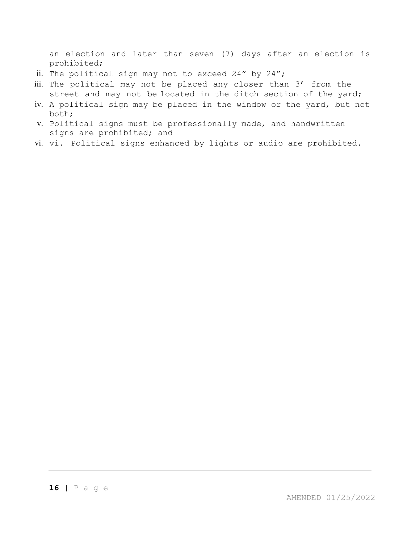an election and later than seven (7) days after an election is prohibited;

- ii. The political sign may not to exceed 24" by 24";
- iii. The political may not be placed any closer than 3' from the street and may not be located in the ditch section of the yard;
- iv. A political sign may be placed in the window or the yard, but not both;
- v. Political signs must be professionally made, and handwritten signs are prohibited; and
- vi. vi. Political signs enhanced by lights or audio are prohibited.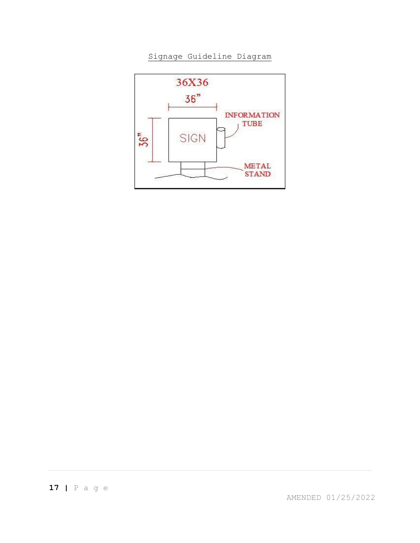Signage Guideline Diagram



AMENDED 01/25/2022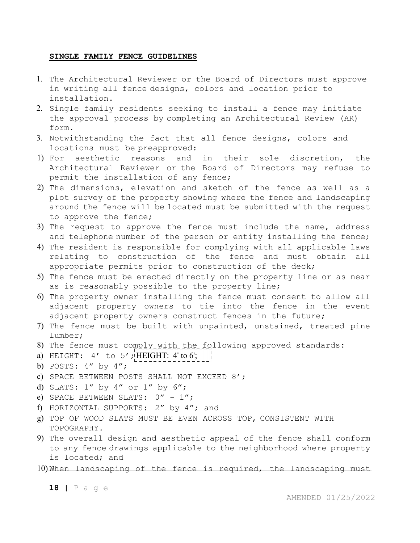#### **SINGLE FAMILY FENCE GUIDELINES**

- 1. The Architectural Reviewer or the Board of Directors must approve in writing all fence designs, colors and location prior to installation.
- 2. Single family residents seeking to install a fence may initiate the approval process by completing an Architectural Review (AR) form.
- 3. Notwithstanding the fact that all fence designs, colors and locations must be preapproved:
- 1) For aesthetic reasons and in their sole discretion, the Architectural Reviewer or the Board of Directors may refuse to permit the installation of any fence;
- 2) The dimensions, elevation and sketch of the fence as well as a plot survey of the property showing where the fence and landscaping around the fence will be located must be submitted with the request to approve the fence;
- 3) The request to approve the fence must include the name, address and telephone number of the person or entity installing the fence;
- 4) The resident is responsible for complying with all applicable laws relating to construction of the fence and must obtain all appropriate permits prior to construction of the deck;
- 5) The fence must be erected directly on the property line or as near as is reasonably possible to the property line;
- 6) The property owner installing the fence must consent to allow all adjacent property owners to tie into the fence in the event adjacent property owners construct fences in the future;
- 7) The fence must be built with unpainted, unstained, treated pine lumber;
- 8) The fence must comply with the following approved standards:
- a) HEIGHT:  $4'$  to  $5'$ ; HEIGHT:  $4'$  to  $6'$ ;
- b) POSTS: 4" by 4";
- c) SPACE BETWEEN POSTS SHALL NOT EXCEED 8';
- d) SLATS: 1" by 4" or 1" by 6";
- e) SPACE BETWEEN SLATS:  $0'' 1''$ ;
- f) HORIZONTAL SUPPORTS: 2" by 4"; and
- g) TOP OF WOOD SLATS MUST BE EVEN ACROSS TOP, CONSISTENT WITH TOPOGRAPHY.
- 9) The overall design and aesthetic appeal of the fence shall conform to any fence drawings applicable to the neighborhood where property is located; and
- 10) When landscaping of the fence is required, the landscaping must

**18 |** P a g e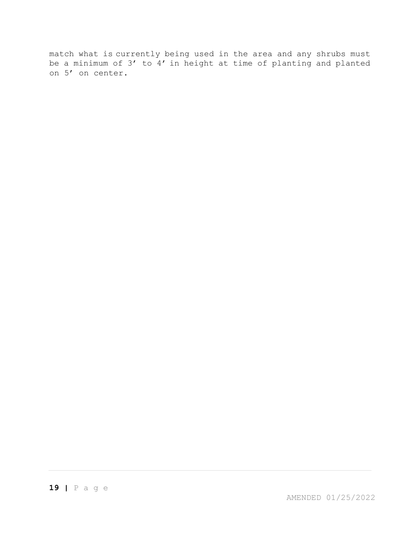match what is currently being used in the area and any shrubs must be a minimum of 3' to 4' in height at time of planting and planted on 5' on center.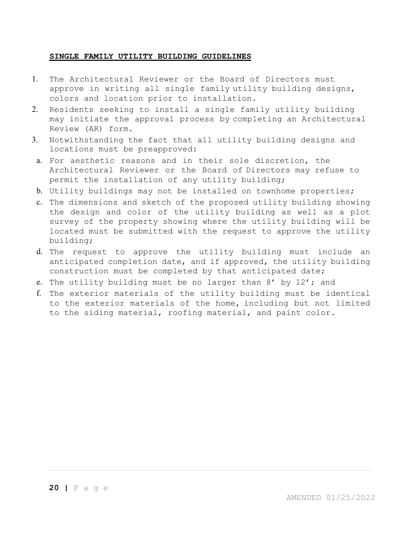#### **SINGLE FAMILY UTILITY BUILDING GUIDELINES**

- 1. The Architectural Reviewer or the Board of Directors must approve in writing all single family utility building designs, colors and location prior to installation.
- 2. Residents seeking to install a single family utility building may initiate the approval process by completing an Architectural Review (AR) form.
- 3. Notwithstanding the fact that all utility building designs and locations must be preapproved:
- a. For aesthetic reasons and in their sole discretion, the Architectural Reviewer or the Board of Directors may refuse to permit the installation of any utility building;
- b. Utility buildings may not be installed on townhome properties;
- c. The dimensions and sketch of the proposed utility building showing the design and color of the utility building as well as a plot survey of the property showing where the utility building will be located must be submitted with the request to approve the utility building;
- d. The request to approve the utility building must include an anticipated completion date, and if approved, the utility building construction must be completed by that anticipated date;
- e. The utility building must be no larger than 8' by 12'; and
- f. The exterior materials of the utility building must be identical to the exterior materials of the home, including but not limited to the siding material, roofing material, and paint color.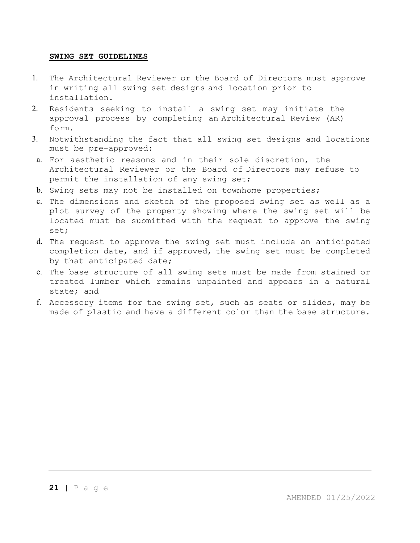#### **SWING SET GUIDELINES**

- 1. The Architectural Reviewer or the Board of Directors must approve in writing all swing set designs and location prior to installation.
- 2. Residents seeking to install a swing set may initiate the approval process by completing an Architectural Review (AR) form.
- 3. Notwithstanding the fact that all swing set designs and locations must be pre-approved:
- a. For aesthetic reasons and in their sole discretion, the Architectural Reviewer or the Board of Directors may refuse to permit the installation of any swing set;
- b. Swing sets may not be installed on townhome properties;
- c. The dimensions and sketch of the proposed swing set as well as a plot survey of the property showing where the swing set will be located must be submitted with the request to approve the swing set;
- d. The request to approve the swing set must include an anticipated completion date, and if approved, the swing set must be completed by that anticipated date;
- e. The base structure of all swing sets must be made from stained or treated lumber which remains unpainted and appears in a natural state; and
- f. Accessory items for the swing set, such as seats or slides, may be made of plastic and have a different color than the base structure.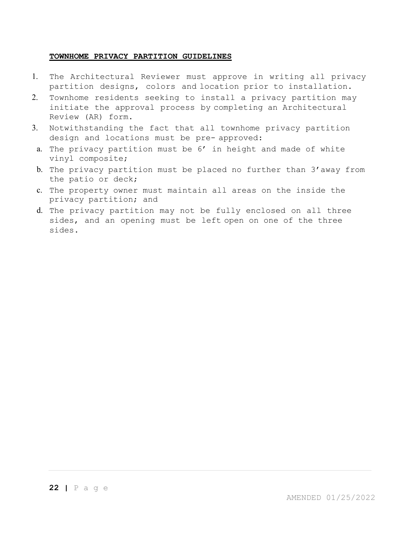#### **TOWNHOME PRIVACY PARTITION GUIDELINES**

- 1. The Architectural Reviewer must approve in writing all privacy partition designs, colors and location prior to installation.
- 2. Townhome residents seeking to install a privacy partition may initiate the approval process by completing an Architectural Review (AR) form.
- 3. Notwithstanding the fact that all townhome privacy partition design and locations must be pre- approved:
- a. The privacy partition must be 6' in height and made of white vinyl composite;
- b. The privacy partition must be placed no further than 3'away from the patio or deck;
- c. The property owner must maintain all areas on the inside the privacy partition; and
- d. The privacy partition may not be fully enclosed on all three sides, and an opening must be left open on one of the three sides.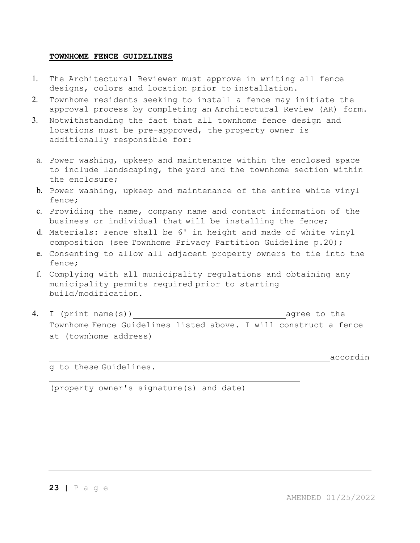#### **TOWNHOME FENCE GUIDELINES**

- 1. The Architectural Reviewer must approve in writing all fence designs, colors and location prior to installation.
- 2. Townhome residents seeking to install a fence may initiate the approval process by completing an Architectural Review (AR) form.
- 3. Notwithstanding the fact that all townhome fence design and locations must be pre-approved, the property owner is additionally responsible for:
	- a. Power washing, upkeep and maintenance within the enclosed space to include landscaping, the yard and the townhome section within the enclosure;
	- b. Power washing, upkeep and maintenance of the entire white vinyl fence;
	- c. Providing the name, company name and contact information of the business or individual that will be installing the fence;
	- d. Materials: Fence shall be 6' in height and made of white vinyl composition (see Townhome Privacy Partition Guideline p.20);
	- e. Consenting to allow all adjacent property owners to tie into the fence;
	- f. Complying with all municipality regulations and obtaining any municipality permits required prior to starting build/modification.
- 4. I (print name(s)) agree to the Townhome Fence Guidelines listed above. I will construct a fence at (townhome address)

accordin

g to these Guidelines.

(property owner's signature(s) and date)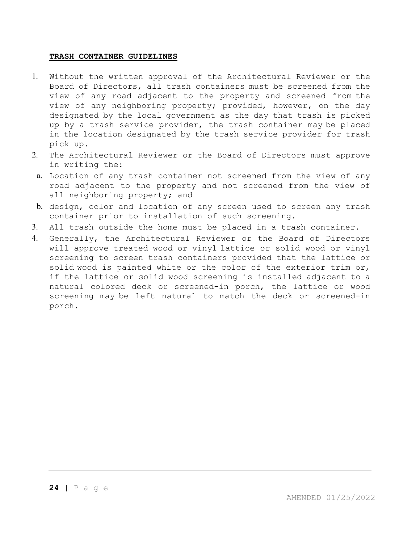#### **TRASH CONTAINER GUIDELINES**

- 1. Without the written approval of the Architectural Reviewer or the Board of Directors, all trash containers must be screened from the view of any road adjacent to the property and screened from the view of any neighboring property; provided, however, on the day designated by the local government as the day that trash is picked up by a trash service provider, the trash container may be placed in the location designated by the trash service provider for trash pick up.
- 2. The Architectural Reviewer or the Board of Directors must approve in writing the:
- a. Location of any trash container not screened from the view of any road adjacent to the property and not screened from the view of all neighboring property; and
- b. design, color and location of any screen used to screen any trash container prior to installation of such screening.
- 3. All trash outside the home must be placed in a trash container.
- 4. Generally, the Architectural Reviewer or the Board of Directors will approve treated wood or vinyl lattice or solid wood or vinyl screening to screen trash containers provided that the lattice or solid wood is painted white or the color of the exterior trim or, if the lattice or solid wood screening is installed adjacent to a natural colored deck or screened-in porch, the lattice or wood screening may be left natural to match the deck or screened-in porch.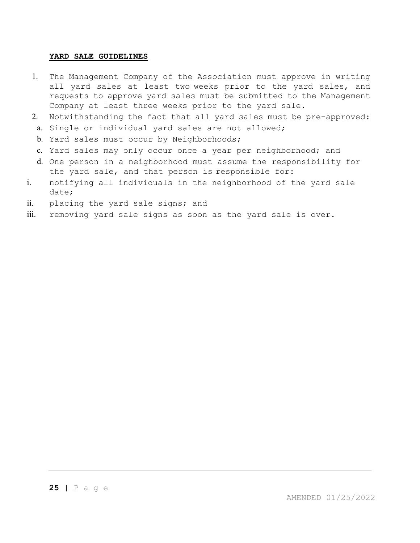#### **YARD SALE GUIDELINES**

- 1. The Management Company of the Association must approve in writing all yard sales at least two weeks prior to the yard sales, and requests to approve yard sales must be submitted to the Management Company at least three weeks prior to the yard sale.
- 2. Notwithstanding the fact that all yard sales must be pre-approved:
- a. Single or individual yard sales are not allowed;
- b. Yard sales must occur by Neighborhoods;
- c. Yard sales may only occur once a year per neighborhood; and
- d. One person in a neighborhood must assume the responsibility for the yard sale, and that person is responsible for:
- i. notifying all individuals in the neighborhood of the yard sale date;
- ii. placing the yard sale signs; and
- iii. removing yard sale signs as soon as the yard sale is over.